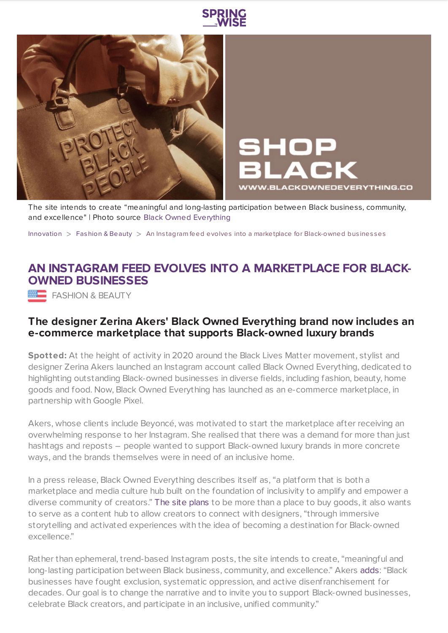



HOP **VWW.BLACKOWNEDEVERYTHING.CO** 

The site intends to create "meaningful and long-lasting participation between Black business, community, and excellence" | Photo source Black Owned [Everything](https://www.instagram.com/blackownedeverything/)

[Innovation](https://www.springwise.com/search?type=innovation)  $>$  [Fashion](https://www.springwise.com/search?type=innovation§or=design-fashion-and-beauty) & Beauty  $>$  An Instagram feed evolves into a marketplace for Black-owned businesses

## **AN INSTAGRAM FEED EVOLVES INTO A MARKETPLACE FOR BLACK-OWNED BUSINESSES**

**FASHION & BEAUTY** 

## **The designer Zerina Akers' Black Owned Everything brand now includes an e-commerce marketplace that supports Black-owned luxury brands**

**Spotted:** At the height of activity in 2020 around the Black Lives Matter movement, stylist and designer Zerina Akers launched an Instagram account called Black Owned Everything, dedicated to highlighting outstanding Black-owned businesses in diverse fields, including fashion, beauty, home goods and food. Now, Black Owned Everything has launched as an e-commerce marketplace, in partnership with Google Pixel.

Akers, whose clients include Beyoncé, was motivated to start the marketplace after receiving an overwhelming response to her Instagram. She realised that there was a demand for more than just hashtags and reposts – people wanted to support Black-owned luxury brands in more concrete ways, and the brands themselves were in need of an inclusive home.

In a press release, Black Owned Everything describes itself as, "a platform that is both a marketplace and media culture hub built on the foundation of inclusivity to amplify and empower a diverse community of creators." The site [plans](https://www.refinery29.com/en-us/2021/02/10311740/zerina-akers-black-owned-everything-ecommerce-marketplace-launch) to be more than a place to buy goods, it also wants to serve as a content hub to allow creators to connect with designers, "through immersive storytelling and activated experiences with the idea of becoming a destination for Black-owned excellence."

Rather than ephemeral, trend-based Instagram posts, the site intends to create, "meaningful and long-lasting participation between Black business, community, and excellence." Akers [adds](https://www.refinery29.com/en-us/2021/02/10311740/zerina-akers-black-owned-everything-ecommerce-marketplace-launch): "Black businesses have fought exclusion, systematic oppression, and active disenfranchisement for decades. Our goal is to change the narrative and to invite you to support Black-owned businesses, celebrate Black creators, and participate in an inclusive, unified community."